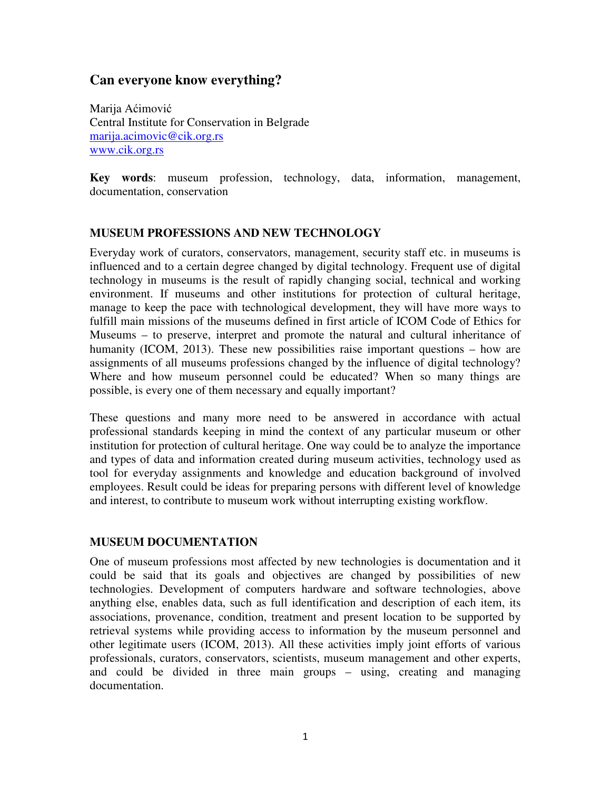# **Can everyone know everything?**

Marija Aćimović Central Institute for Conservation in Belgrade marija.acimovic@cik.org.rs www.cik.org.rs

**Key words**: museum profession, technology, data, information, management, documentation, conservation

### **MUSEUM PROFESSIONS AND NEW TECHNOLOGY**

Everyday work of curators, conservators, management, security staff etc. in museums is influenced and to a certain degree changed by digital technology. Frequent use of digital technology in museums is the result of rapidly changing social, technical and working environment. If museums and other institutions for protection of cultural heritage, manage to keep the pace with technological development, they will have more ways to fulfill main missions of the museums defined in first article of ICOM Code of Ethics for Museums – to preserve, interpret and promote the natural and cultural inheritance of humanity (ICOM, 2013). These new possibilities raise important questions – how are assignments of all museums professions changed by the influence of digital technology? Where and how museum personnel could be educated? When so many things are possible, is every one of them necessary and equally important?

These questions and many more need to be answered in accordance with actual professional standards keeping in mind the context of any particular museum or other institution for protection of cultural heritage. One way could be to analyze the importance and types of data and information created during museum activities, technology used as tool for everyday assignments and knowledge and education background of involved employees. Result could be ideas for preparing persons with different level of knowledge and interest, to contribute to museum work without interrupting existing workflow.

### **MUSEUM DOCUMENTATION**

One of museum professions most affected by new technologies is documentation and it could be said that its goals and objectives are changed by possibilities of new technologies. Development of computers hardware and software technologies, above anything else, enables data, such as full identification and description of each item, its associations, provenance, condition, treatment and present location to be supported by retrieval systems while providing access to information by the museum personnel and other legitimate users (ICOM, 2013). All these activities imply joint efforts of various professionals, curators, conservators, scientists, museum management and other experts, and could be divided in three main groups – using, creating and managing documentation.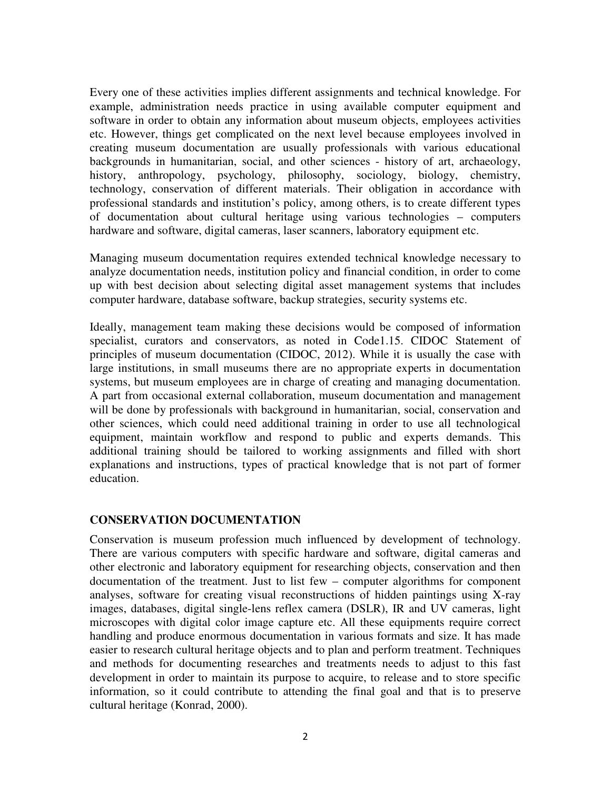Every one of these activities implies different assignments and technical knowledge. For example, administration needs practice in using available computer equipment and software in order to obtain any information about museum objects, employees activities etc. However, things get complicated on the next level because employees involved in creating museum documentation are usually professionals with various educational backgrounds in humanitarian, social, and other sciences - history of art, archaeology, history, anthropology, psychology, philosophy, sociology, biology, chemistry, technology, conservation of different materials. Their obligation in accordance with professional standards and institution's policy, among others, is to create different types of documentation about cultural heritage using various technologies – computers hardware and software, digital cameras, laser scanners, laboratory equipment etc.

Managing museum documentation requires extended technical knowledge necessary to analyze documentation needs, institution policy and financial condition, in order to come up with best decision about selecting digital asset management systems that includes computer hardware, database software, backup strategies, security systems etc.

Ideally, management team making these decisions would be composed of information specialist, curators and conservators, as noted in Code1.15. CIDOC Statement of principles of museum documentation (CIDOC, 2012). While it is usually the case with large institutions, in small museums there are no appropriate experts in documentation systems, but museum employees are in charge of creating and managing documentation. A part from occasional external collaboration, museum documentation and management will be done by professionals with background in humanitarian, social, conservation and other sciences, which could need additional training in order to use all technological equipment, maintain workflow and respond to public and experts demands. This additional training should be tailored to working assignments and filled with short explanations and instructions, types of practical knowledge that is not part of former education.

### **CONSERVATION DOCUMENTATION**

Conservation is museum profession much influenced by development of technology. There are various computers with specific hardware and software, digital cameras and other electronic and laboratory equipment for researching objects, conservation and then documentation of the treatment. Just to list few – computer algorithms for component analyses, software for creating visual reconstructions of hidden paintings using X-ray images, databases, digital single-lens reflex camera (DSLR), IR and UV cameras, light microscopes with digital color image capture etc. All these equipments require correct handling and produce enormous documentation in various formats and size. It has made easier to research cultural heritage objects and to plan and perform treatment. Techniques and methods for documenting researches and treatments needs to adjust to this fast development in order to maintain its purpose to acquire, to release and to store specific information, so it could contribute to attending the final goal and that is to preserve cultural heritage (Konrad, 2000).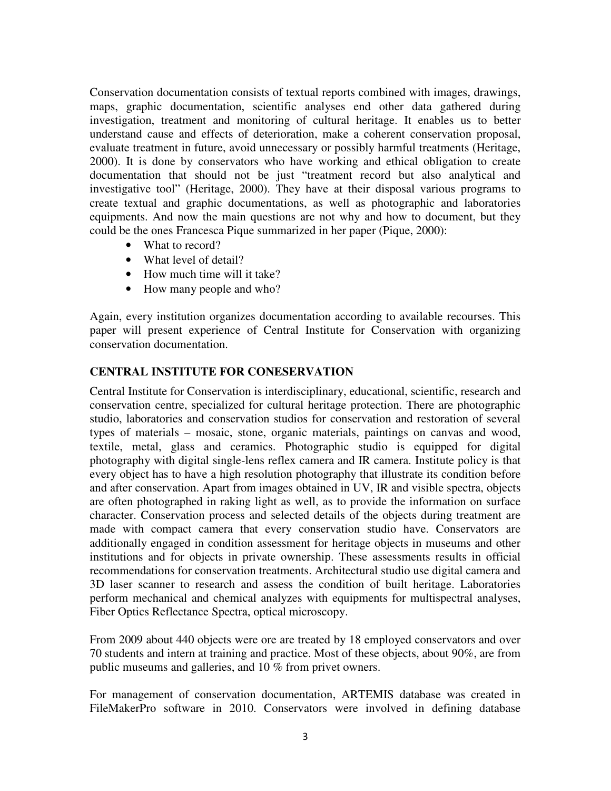Conservation documentation consists of textual reports combined with images, drawings, maps, graphic documentation, scientific analyses end other data gathered during investigation, treatment and monitoring of cultural heritage. It enables us to better understand cause and effects of deterioration, make a coherent conservation proposal, evaluate treatment in future, avoid unnecessary or possibly harmful treatments (Heritage, 2000). It is done by conservators who have working and ethical obligation to create documentation that should not be just "treatment record but also analytical and investigative tool" (Heritage, 2000). They have at their disposal various programs to create textual and graphic documentations, as well as photographic and laboratories equipments. And now the main questions are not why and how to document, but they could be the ones Francesca Pique summarized in her paper (Pique, 2000):

- What to record?
- What level of detail?
- How much time will it take?
- How many people and who?

Again, every institution organizes documentation according to available recourses. This paper will present experience of Central Institute for Conservation with organizing conservation documentation.

## **CENTRAL INSTITUTE FOR CONESERVATION**

Central Institute for Conservation is interdisciplinary, educational, scientific, research and conservation centre, specialized for cultural heritage protection. There are photographic studio, laboratories and conservation studios for conservation and restoration of several types of materials – mosaic, stone, organic materials, paintings on canvas and wood, textile, metal, glass and ceramics. Photographic studio is equipped for digital photography with digital single-lens reflex camera and IR camera. Institute policy is that every object has to have a high resolution photography that illustrate its condition before and after conservation. Apart from images obtained in UV, IR and visible spectra, objects are often photographed in raking light as well, as to provide the information on surface character. Conservation process and selected details of the objects during treatment are made with compact camera that every conservation studio have. Conservators are additionally engaged in condition assessment for heritage objects in museums and other institutions and for objects in private ownership. These assessments results in official recommendations for conservation treatments. Architectural studio use digital camera and 3D laser scanner to research and assess the condition of built heritage. Laboratories perform mechanical and chemical analyzes with equipments for multispectral analyses, Fiber Optics Reflectance Spectra, optical microscopy.

From 2009 about 440 objects were ore are treated by 18 employed conservators and over 70 students and intern at training and practice. Most of these objects, about 90%, are from public museums and galleries, and 10 % from privet owners.

For management of conservation documentation, ARTEMIS database was created in FileMakerPro software in 2010. Conservators were involved in defining database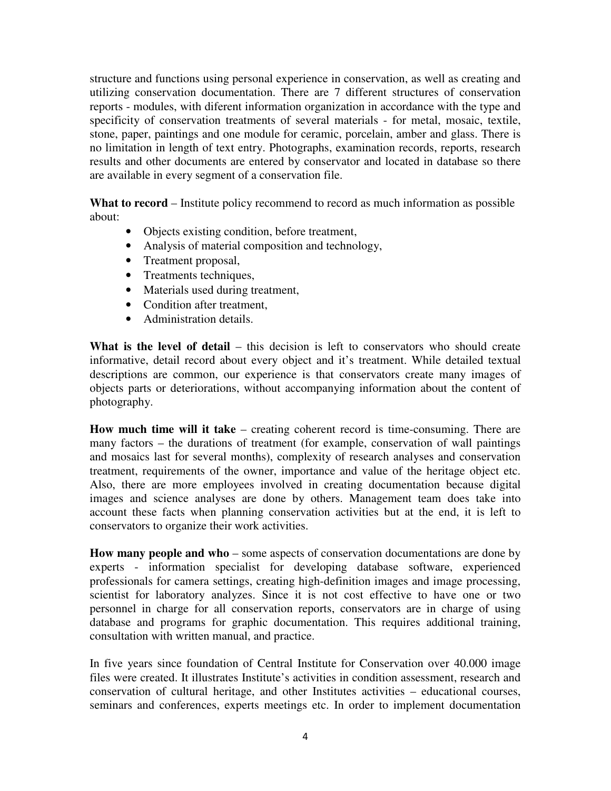structure and functions using personal experience in conservation, as well as creating and utilizing conservation documentation. There are 7 different structures of conservation reports - modules, with diferent information organization in accordance with the type and specificity of conservation treatments of several materials - for metal, mosaic, textile, stone, paper, paintings and one module for ceramic, porcelain, amber and glass. There is no limitation in length of text entry. Photographs, examination records, reports, research results and other documents are entered by conservator and located in database so there are available in every segment of a conservation file.

What to record – Institute policy recommend to record as much information as possible about:

- Objects existing condition, before treatment,
- Analysis of material composition and technology,
- Treatment proposal,
- Treatments techniques,
- Materials used during treatment,
- Condition after treatment,
- Administration details.

**What is the level of detail** – this decision is left to conservators who should create informative, detail record about every object and it's treatment. While detailed textual descriptions are common, our experience is that conservators create many images of objects parts or deteriorations, without accompanying information about the content of photography.

**How much time will it take** – creating coherent record is time-consuming. There are many factors – the durations of treatment (for example, conservation of wall paintings and mosaics last for several months), complexity of research analyses and conservation treatment, requirements of the owner, importance and value of the heritage object etc. Also, there are more employees involved in creating documentation because digital images and science analyses are done by others. Management team does take into account these facts when planning conservation activities but at the end, it is left to conservators to organize their work activities.

**How many people and who** – some aspects of conservation documentations are done by experts - information specialist for developing database software, experienced professionals for camera settings, creating high-definition images and image processing, scientist for laboratory analyzes. Since it is not cost effective to have one or two personnel in charge for all conservation reports, conservators are in charge of using database and programs for graphic documentation. This requires additional training, consultation with written manual, and practice.

In five years since foundation of Central Institute for Conservation over 40.000 image files were created. It illustrates Institute's activities in condition assessment, research and conservation of cultural heritage, and other Institutes activities – educational courses, seminars and conferences, experts meetings etc. In order to implement documentation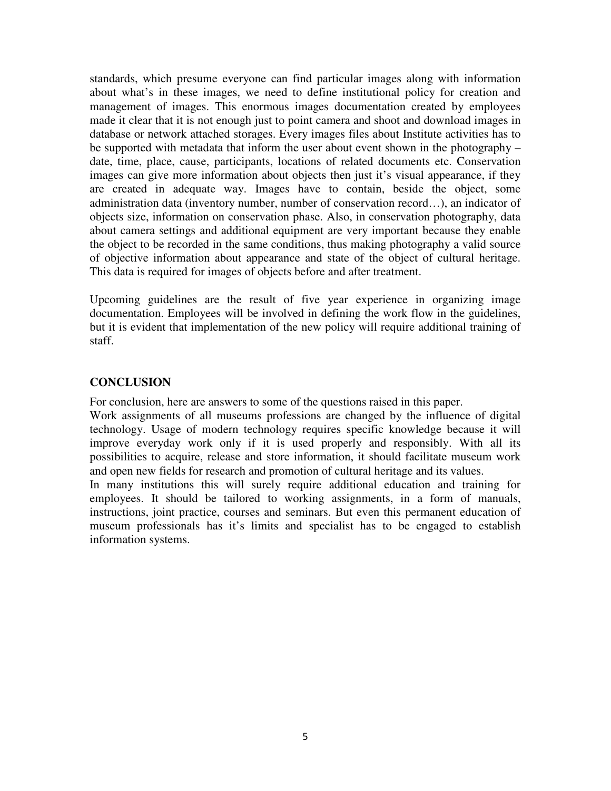standards, which presume everyone can find particular images along with information about what's in these images, we need to define institutional policy for creation and management of images. This enormous images documentation created by employees made it clear that it is not enough just to point camera and shoot and download images in database or network attached storages. Every images files about Institute activities has to be supported with metadata that inform the user about event shown in the photography – date, time, place, cause, participants, locations of related documents etc. Conservation images can give more information about objects then just it's visual appearance, if they are created in adequate way. Images have to contain, beside the object, some administration data (inventory number, number of conservation record…), an indicator of objects size, information on conservation phase. Also, in conservation photography, data about camera settings and additional equipment are very important because they enable the object to be recorded in the same conditions, thus making photography a valid source of objective information about appearance and state of the object of cultural heritage. This data is required for images of objects before and after treatment.

Upcoming guidelines are the result of five year experience in organizing image documentation. Employees will be involved in defining the work flow in the guidelines, but it is evident that implementation of the new policy will require additional training of staff.

#### **CONCLUSION**

For conclusion, here are answers to some of the questions raised in this paper.

Work assignments of all museums professions are changed by the influence of digital technology. Usage of modern technology requires specific knowledge because it will improve everyday work only if it is used properly and responsibly. With all its possibilities to acquire, release and store information, it should facilitate museum work and open new fields for research and promotion of cultural heritage and its values.

In many institutions this will surely require additional education and training for employees. It should be tailored to working assignments, in a form of manuals, instructions, joint practice, courses and seminars. But even this permanent education of museum professionals has it's limits and specialist has to be engaged to establish information systems.